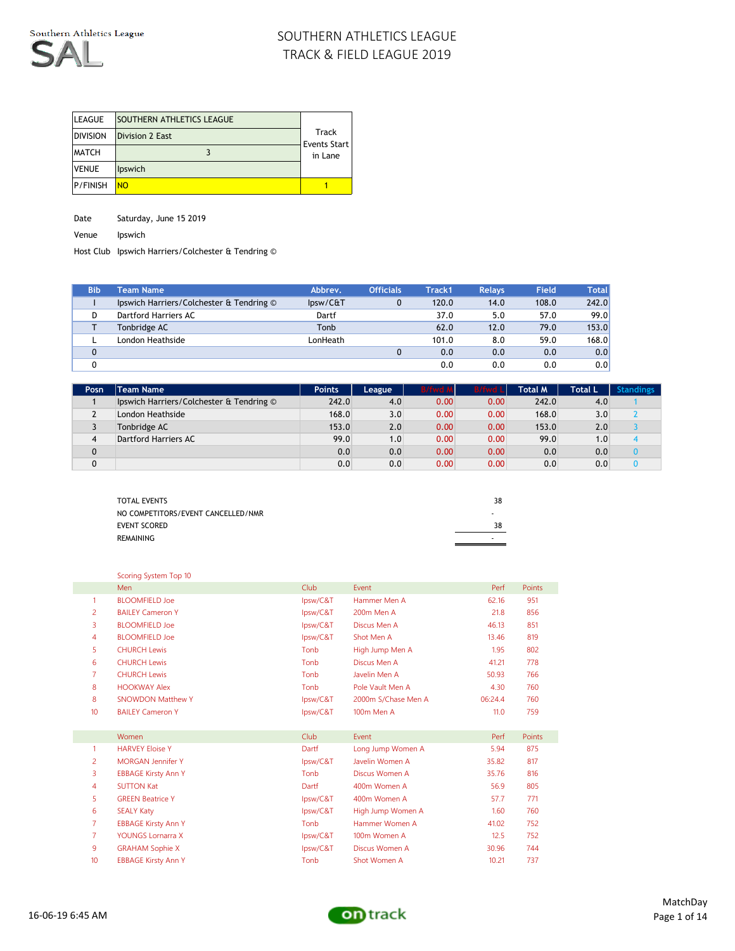

| <b>LEAGUE</b>   | <b>SOUTHERN ATHLETICS LEAGUE</b> |                              |
|-----------------|----------------------------------|------------------------------|
| <b>DIVISION</b> | <b>Division 2 East</b>           | <b>Track</b><br>Events Start |
| <b>MATCH</b>    |                                  | in Lane                      |
| <b>VENUE</b>    | <b>lpswich</b>                   |                              |
| <b>P/FINISH</b> | NO                               |                              |

Date Saturday, June 15 2019

Venue Ipswich

Host Club Ipswich Harriers/Colchester & Tendring ©

| <b>Bib</b>   | <b>Team Name</b>                         | Abbrev.  | <b>Officials</b> | Track1 | <b>Relavs</b> | Field | <b>Total</b> |
|--------------|------------------------------------------|----------|------------------|--------|---------------|-------|--------------|
|              | Ipswich Harriers/Colchester & Tendring © | lpsw/C&T |                  | 120.0  | 14.0          | 108.0 | 242.0        |
| D            | Dartford Harriers AC                     | Dartf    |                  | 37.0   | 5.0           | 57.0  | 99.0         |
|              | Tonbridge AC                             | Tonb     |                  | 62.0   | 12.0          | 79.0  | 153.0        |
|              | London Heathside                         | LonHeath |                  | 101.0  | 8.0           | 59.0  | 168.0        |
| $\mathbf{0}$ |                                          |          |                  | 0.0    | 0.0           | 0.0   | 0.0          |
|              |                                          |          |                  | 0.0    | 0.0           | 0.0   | 0.0          |

| Posn | <b>Team Name</b>                         | <b>Points</b> | League | <b>B/fwd</b> | <b>B/fwd L</b> | Total M | Total L | <b>Standings</b> |
|------|------------------------------------------|---------------|--------|--------------|----------------|---------|---------|------------------|
|      | Ipswich Harriers/Colchester & Tendring © | 242.0         | 4.0    | 0.00         | 0.00           | 242.0   | 4.0     |                  |
|      | London Heathside                         | 168.0         | 3.0    | 0.00         | 0.00           | 168.0   | 3.0     |                  |
|      | Tonbridge AC                             | 153.0         | 2.0    | 0.00         | 0.00           | 153.0   | 2.0     |                  |
| 4    | Dartford Harriers AC                     | 99.0          | 1.0    | 0.00         | 0.00           | 99.0    | ا 0. ا  |                  |
| 0    |                                          | 0.0           | 0.0    | 0.00         | 0.00           | 0.0     | 0.0     |                  |
| 0    |                                          | 0.0           | 0.0    | 0.00         | 0.00           | 0.0     | 0.0     |                  |

| <b>TOTAL EVENTS</b>                | 38 |
|------------------------------------|----|
| NO COMPETITORS/EVENT CANCELLED/NMR | ٠  |
| <b>EVENT SCORED</b>                | 38 |
| REMAINING                          |    |
|                                    |    |

|    | Scoring System Top 10      |          |                     |         |        |
|----|----------------------------|----------|---------------------|---------|--------|
|    | Men                        | Club     | Event               | Perf    | Points |
| 1  | <b>BLOOMFIFLD Joe</b>      | Ipsw/C&T | Hammer Men A        | 62.16   | 951    |
| 2  | <b>BAILEY Cameron Y</b>    | Ipsw/C&T | 200m Men A          | 21.8    | 856    |
| 3  | <b>BLOOMFIELD Joe</b>      | lpsw/C&T | Discus Men A        | 46.13   | 851    |
| 4  | <b>BLOOMFIELD Joe</b>      | lpsw/C&T | Shot Men A          | 13.46   | 819    |
| 5  | <b>CHURCH Lewis</b>        | Tonb     | High Jump Men A     | 1.95    | 802    |
| 6  | <b>CHURCH Lewis</b>        | Tonb     | Discus Men A        | 41.21   | 778    |
| 7  | <b>CHURCH Lewis</b>        | Tonb     | Javelin Men A       | 50.93   | 766    |
| 8  | <b>HOOKWAY Alex</b>        | Tonb     | Pole Vault Men A    | 4.30    | 760    |
| 8  | <b>SNOWDON Matthew Y</b>   | lpsw/C&T | 2000m S/Chase Men A | 06:24.4 | 760    |
| 10 | <b>BAILEY Cameron Y</b>    | Ipsw/C&T | 100m Men A          | 11.0    | 759    |
|    |                            |          |                     |         |        |
|    | Women                      | Club     | Event               | Perf    | Points |
| 1  | <b>HARVEY Floise Y</b>     | Dartf    | Long Jump Women A   | 5.94    | 875    |
| 2  | <b>MORGAN Jennifer Y</b>   | lpsw/C&T | Javelin Women A     | 35.82   | 817    |
| 3  | <b>EBBAGE Kirsty Ann Y</b> | Tonb     | Discus Women A      | 35.76   | 816    |
| 4  | <b>SUTTON Kat</b>          | Dartf    | 400m Women A        | 56.9    | 805    |
| 5  | <b>GREEN Beatrice Y</b>    | lpsw/C&T | 400m Women A        | 57.7    | 771    |
| 6  | <b>SEALY Katy</b>          | lpsw/C&T | High Jump Women A   | 1.60    | 760    |
| 7  | <b>EBBAGE Kirsty Ann Y</b> | Tonb     | Hammer Women A      | 41.02   | 752    |
| 7  | <b>YOUNGS Lornarra X</b>   | lpsw/C&T | 100m Women A        | 12.5    | 752    |
| 9  | <b>GRAHAM Sophie X</b>     | Ipsw/C&T | Discus Women A      | 30.96   | 744    |
| 10 | <b>EBBAGE Kirsty Ann Y</b> | Tonb     | Shot Women A        | 10.21   | 737    |

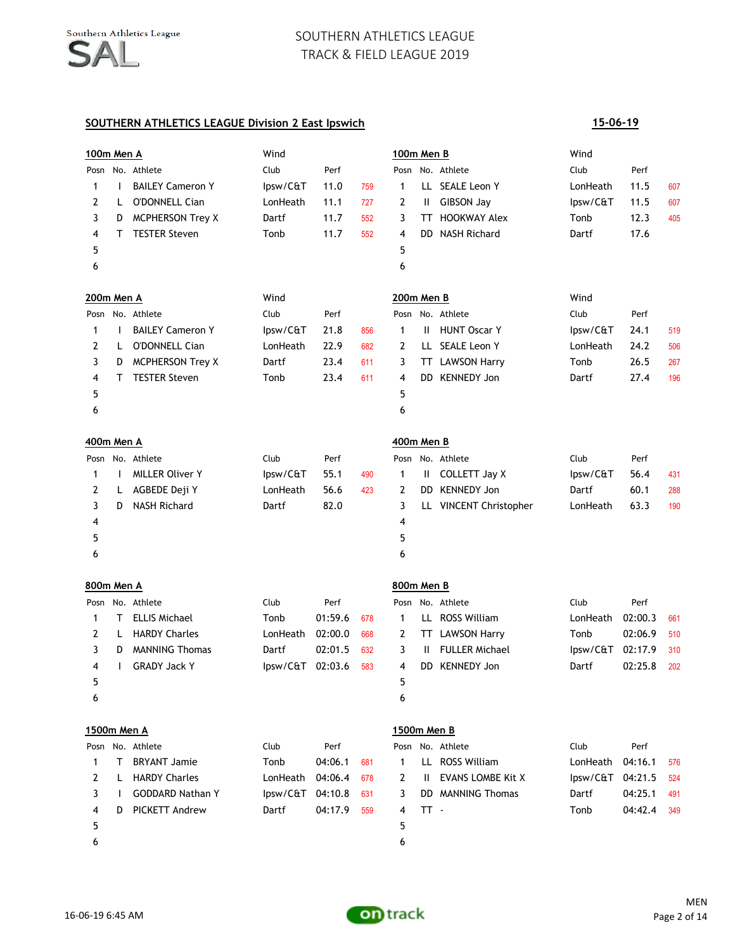# **SOUTHERN ATHLETICS LEAGUE Division 2 East Ipswich**

| 100m Men A        |              |                         | Wind     |         |     | 100m Men B   |               |                          | Wind     |         |     |
|-------------------|--------------|-------------------------|----------|---------|-----|--------------|---------------|--------------------------|----------|---------|-----|
| Posn              |              | No. Athlete             | Club     | Perf    |     | Posn         |               | No. Athlete              | Club     | Perf    |     |
| 1                 | I.           | <b>BAILEY Cameron Y</b> | lpsw/C&T | 11.0    | 759 | 1            | LL.           | <b>SEALE Leon Y</b>      | LonHeath | 11.5    | 607 |
| 2                 | L            | <b>O'DONNELL Cian</b>   | LonHeath | 11.1    | 727 | 2            | Ш.            | <b>GIBSON Jay</b>        | lpsw/C&T | 11.5    | 607 |
| 3                 | D            | <b>MCPHERSON Trey X</b> | Dartf    | 11.7    | 552 | 3            | TT            | <b>HOOKWAY Alex</b>      | Tonb     | 12.3    | 405 |
| 4                 | т            | <b>TESTER Steven</b>    | Tonb     | 11.7    | 552 | 4            | DD            | <b>NASH Richard</b>      | Dartf    | 17.6    |     |
| 5                 |              |                         |          |         |     | 5            |               |                          |          |         |     |
| 6                 |              |                         |          |         |     | 6            |               |                          |          |         |     |
| <b>200m Men A</b> |              |                         | Wind     |         |     | 200m Men B   |               |                          | Wind     |         |     |
| Posn              |              | No. Athlete             | Club     | Perf    |     | Posn         |               | No. Athlete              | Club     | Perf    |     |
| 1                 | $\mathbf{I}$ | <b>BAILEY Cameron Y</b> | lpsw/C&T | 21.8    | 856 | $\mathbf{1}$ | Ш             | <b>HUNT Oscar Y</b>      | lpsw/C&T | 24.1    | 519 |
| 2                 | L            | <b>O'DONNELL Cian</b>   | LonHeath | 22.9    | 682 | 2            | LL.           | SEALE Leon Y             | LonHeath | 24.2    | 506 |
| 3                 | D            | <b>MCPHERSON Trey X</b> | Dartf    | 23.4    | 611 | 3            | TT            | <b>LAWSON Harry</b>      | Tonb     | 26.5    | 267 |
| 4                 | т            | <b>TESTER Steven</b>    | Tonb     | 23.4    | 611 | 4            |               | DD KENNEDY Jon           | Dartf    | 27.4    | 196 |
| 5                 |              |                         |          |         |     | 5            |               |                          |          |         |     |
| 6                 |              |                         |          |         |     | 6            |               |                          |          |         |     |
| 400m Men A        |              |                         |          |         |     | 400m Men B   |               |                          |          |         |     |
| Posn              |              | No. Athlete             | Club     | Perf    |     | Posn         |               | No. Athlete              | Club     | Perf    |     |
| 1                 | I.           | <b>MILLER Oliver Y</b>  | lpsw/C&T | 55.1    | 490 | 1            | Ш.            | COLLETT Jay X            | lpsw/C&T | 56.4    | 431 |
| 2                 | L            | AGBEDE Deji Y           | LonHeath | 56.6    | 423 | 2            | DD            | <b>KENNEDY Jon</b>       | Dartf    | 60.1    | 288 |
| 3                 | D            | <b>NASH Richard</b>     | Dartf    | 82.0    |     | 3            |               | LL VINCENT Christopher   | LonHeath | 63.3    | 190 |
| 4                 |              |                         |          |         |     | 4            |               |                          |          |         |     |
| 5                 |              |                         |          |         |     | 5            |               |                          |          |         |     |
| 6                 |              |                         |          |         |     | 6            |               |                          |          |         |     |
| 800m Men A        |              |                         |          |         |     | 800m Men B   |               |                          |          |         |     |
| Posn              |              | No. Athlete             | Club     | Perf    |     | Posn         |               | No. Athlete              | Club     | Perf    |     |
| 1                 | т            | <b>ELLIS Michael</b>    | Tonb     | 01:59.6 | 678 | 1            | LL.           | <b>ROSS William</b>      | LonHeath | 02:00.3 | 661 |
| 2                 | L            | <b>HARDY Charles</b>    | LonHeath | 02:00.0 | 668 | 2            |               | TT LAWSON Harry          | Tonb     | 02:06.9 | 510 |
| 3                 | D            | <b>MANNING Thomas</b>   | Dartf    | 02:01.5 | 632 | 3            | Ш.            | <b>FULLER Michael</b>    | lpsw/C&T | 02:17.9 | 310 |
| 4                 | L            | <b>GRADY Jack Y</b>     | lpsw/C&T | 02:03.6 | 583 | 4            | DD            | <b>KENNEDY Jon</b>       | Dartf    | 02:25.8 | 202 |
| 5                 |              |                         |          |         |     | 5            |               |                          |          |         |     |
| 6                 |              |                         |          |         |     | 6            |               |                          |          |         |     |
| 1500m Men A       |              |                         |          |         |     | 1500m Men B  |               |                          |          |         |     |
|                   |              | Posn No. Athlete        | Club     | Perf    |     |              |               | Posn No. Athlete         | Club     | Perf    |     |
| 1                 | т            | <b>BRYANT Jamie</b>     | Tonb     | 04:06.1 | 681 | 1            |               | LL ROSS William          | LonHeath | 04:16.1 | 576 |
| 2                 | L            | <b>HARDY Charles</b>    | LonHeath | 04:06.4 | 678 | 2            | $\mathbf{II}$ | <b>EVANS LOMBE Kit X</b> | lpsw/C&T | 04:21.5 | 524 |
| 3                 | $\mathbf{I}$ | <b>GODDARD Nathan Y</b> | lpsw/C&T | 04:10.8 | 631 | 3            |               | <b>DD</b> MANNING Thomas | Dartf    | 04:25.1 | 491 |
| 4                 | D            | PICKETT Andrew          | Dartf    | 04:17.9 | 559 | 4            | $TT -$        |                          | Tonb     | 04:42.4 | 349 |
| 5                 |              |                         |          |         |     | 5            |               |                          |          |         |     |
| 6                 |              |                         |          |         |     | 6            |               |                          |          |         |     |

**15-06-19**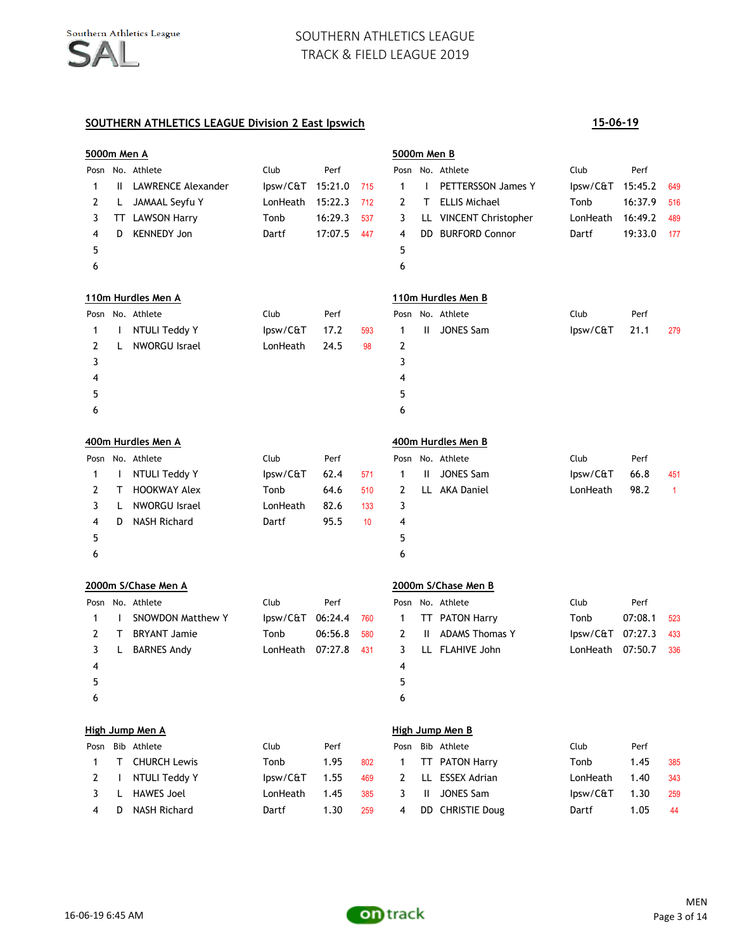|      | 5000m Men A  |                           |          |         |     | 5000m Men B    |              |                            |          |         |                |
|------|--------------|---------------------------|----------|---------|-----|----------------|--------------|----------------------------|----------|---------|----------------|
| Posn |              | No. Athlete               | Club     | Perf    |     |                |              | Posn No. Athlete           | Club     | Perf    |                |
| 1    | $\mathbf{H}$ | <b>LAWRENCE Alexander</b> | lpsw/C&T | 15:21.0 | 715 | $\mathbf{1}$   | $\mathbf{I}$ | <b>PETTERSSON James Y</b>  | lpsw/C&T | 15:45.2 | 649            |
| 2    | L            | JAMAAL Seyfu Y            | LonHeath | 15:22.3 | 712 | 2              | т            | <b>ELLIS Michael</b>       | Tonb     | 16:37.9 | 516            |
| 3    |              | TT LAWSON Harry           | Tonb     | 16:29.3 | 537 | 3              | Щ.           | <b>VINCENT Christopher</b> | LonHeath | 16:49.2 | 489            |
| 4    | D            | <b>KENNEDY Jon</b>        | Dartf    | 17:07.5 | 447 | 4              |              | DD BURFORD Connor          | Dartf    | 19:33.0 | 177            |
| 5    |              |                           |          |         |     | 5              |              |                            |          |         |                |
| 6    |              |                           |          |         |     | 6              |              |                            |          |         |                |
|      |              | 110m Hurdles Men A        |          |         |     |                |              | 110m Hurdles Men B         |          |         |                |
|      |              | Posn No. Athlete          | Club     | Perf    |     |                |              | Posn No. Athlete           | Club     | Perf    |                |
| 1    | <b>I</b>     | NTULI Teddy Y             | lpsw/C&T | 17.2    | 593 | $\mathbf{1}$   | Ш            | <b>JONES Sam</b>           | lpsw/C&T | 21.1    | 279            |
| 2    | L            | <b>NWORGU Israel</b>      | LonHeath | 24.5    | 98  | $\overline{2}$ |              |                            |          |         |                |
| 3    |              |                           |          |         |     | 3              |              |                            |          |         |                |
| 4    |              |                           |          |         |     | 4              |              |                            |          |         |                |
| 5    |              |                           |          |         |     | 5              |              |                            |          |         |                |
| 6    |              |                           |          |         |     | 6              |              |                            |          |         |                |
|      |              | 400m Hurdles Men A        |          |         |     |                |              | 400m Hurdles Men B         |          |         |                |
|      |              | Posn No. Athlete          | Club     | Perf    |     | Posn           |              | No. Athlete                | Club     | Perf    |                |
| 1    | $\mathbf{I}$ | NTULI Teddy Y             | lpsw/C&T | 62.4    | 571 | 1              | Ш            | <b>JONES Sam</b>           | lpsw/C&T | 66.8    | 451            |
| 2    | т            | <b>HOOKWAY Alex</b>       | Tonb     | 64.6    | 510 | $\overline{2}$ | LL.          | <b>AKA Daniel</b>          | LonHeath | 98.2    | $\overline{1}$ |
| 3    | L            | <b>NWORGU Israel</b>      | LonHeath | 82.6    | 133 | 3              |              |                            |          |         |                |
| 4    | D            | <b>NASH Richard</b>       | Dartf    | 95.5    | 10  | 4              |              |                            |          |         |                |
| 5    |              |                           |          |         |     | 5              |              |                            |          |         |                |
| 6    |              |                           |          |         |     | 6              |              |                            |          |         |                |
|      |              | 2000m S/Chase Men A       |          |         |     |                |              | 2000m S/Chase Men B        |          |         |                |
| Posn |              | No. Athlete               | Club     | Perf    |     |                |              | Posn No. Athlete           | Club     | Perf    |                |
| 1    |              | <b>SNOWDON Matthew Y</b>  | lpsw/C&T | 06:24.4 | 760 | 1              | TT           | <b>PATON Harry</b>         | Tonb     | 07:08.1 | 523            |
| 2    | т            | <b>BRYANT Jamie</b>       | Tonb     | 06:56.8 | 580 | $\overline{2}$ | Ш.           | <b>ADAMS Thomas Y</b>      | lpsw/C&T | 07:27.3 | 433            |
| 3    | L            | <b>BARNES Andy</b>        | LonHeath | 07:27.8 | 431 | 3              |              | LL FLAHIVE John            | LonHeath | 07:50.7 | 336            |
| 4    |              |                           |          |         |     | 4              |              |                            |          |         |                |
| 5    |              |                           |          |         |     | 5              |              |                            |          |         |                |
| 6    |              |                           |          |         |     | 6              |              |                            |          |         |                |
|      |              | High Jump Men A           |          |         |     |                |              | High Jump Men B            |          |         |                |
| Posn |              | Bib Athlete               | Club     | Perf    |     | Posn           |              | Bib Athlete                | Club     | Perf    |                |
| 1    | Τ            | <b>CHURCH Lewis</b>       | Tonb     | 1.95    | 802 | 1              |              | TT PATON Harry             | Tonb     | 1.45    | 385            |
| 2    |              | NTULI Teddy Y             | lpsw/C&T | 1.55    | 469 | 2              |              | LL ESSEX Adrian            | LonHeath | 1.40    | 343            |
| 3    | L            | <b>HAWES Joel</b>         | LonHeath | 1.45    | 385 | 3              | Ш            | <b>JONES Sam</b>           | lpsw/C&T | 1.30    | 259            |
| 4    | D            | <b>NASH Richard</b>       | Dartf    | 1.30    | 259 | 4              |              | DD CHRISTIE Doug           | Dartf    | 1.05    | 44             |

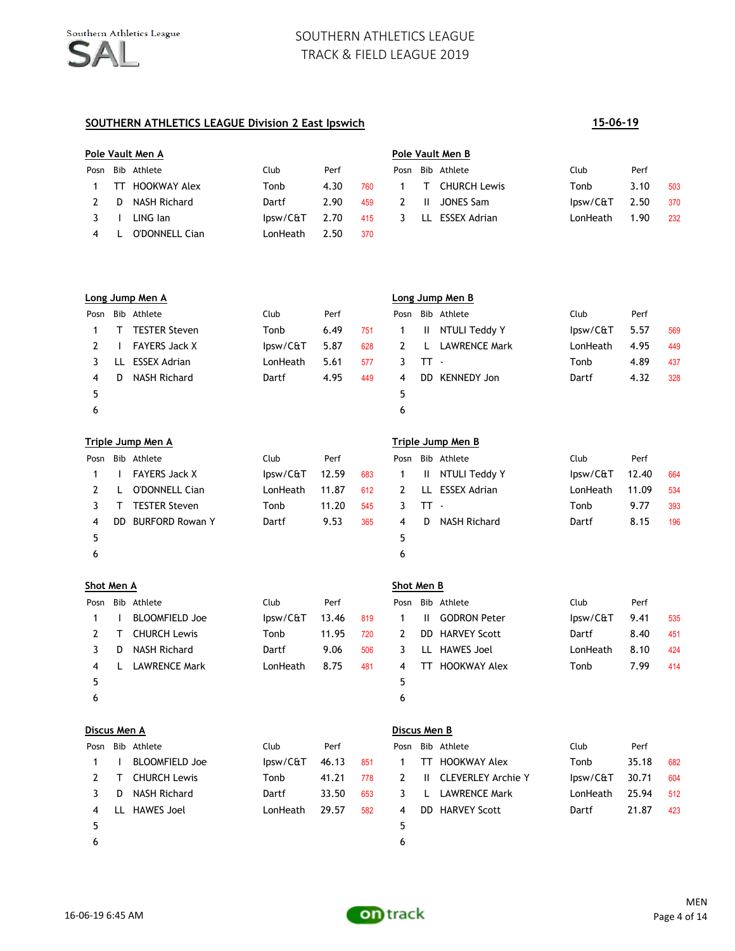## **SOUTHERN ATHLETICS LEAGUE Division 2 East Ipswich 15-06-19**

# **Pole Vault Men A Pole Vault Men B** Posn Bib Athlete Club Perf Posn Bib Athlete Club Perf 1 TT HOOKWAY Alex Tonb 4.30 760 1 T CHURCH Lewis Tonb 3.10 503 2 D NASH Richard **Dartf** 2.90 459 2 II JONES Sam **Ipsw/C&T** 2.50 370 3 I LING Ian 1.90 Ipsw/C&T 2.70 415 3 LL ESSEX Adrian 1.90 232 4 L O'DONNELL Cian<br>
LonHeath 2.50 370

|      | Long Jump Men A |                      |          |      |     |    | Long Jump Men B |                      |          |      |     |  |
|------|-----------------|----------------------|----------|------|-----|----|-----------------|----------------------|----------|------|-----|--|
| Posn |                 | Bib Athlete          | Club     | Perf |     |    |                 | Posn Bib Athlete     | Club     | Perf |     |  |
|      | Т               | <b>TESTER Steven</b> | Tonb     | 6.49 | 751 |    | Ш.              | NTULI Teddy Y        | lpsw/C&T | 5.57 | 569 |  |
|      |                 | <b>FAYERS Jack X</b> | lpsw/C&T | 5.87 | 628 |    |                 | <b>LAWRENCE Mark</b> | LonHeath | 4.95 | 449 |  |
|      | ш               | <b>ESSEX Adrian</b>  | LonHeath | 5.61 | 577 |    | TT -            |                      | Tonb     | 4.89 | 437 |  |
| 4    | D               | <b>NASH Richard</b>  | Dartf    | 4.95 | 449 | 4  | DD.             | <b>KENNEDY Jon</b>   | Dartf    | 4.32 | 328 |  |
| 5    |                 |                      |          |      |     | 5. |                 |                      |          |      |     |  |
| ь    |                 |                      |          |      |     | 6  |                 |                      |          |      |     |  |

|      | Triple Jump Men A |                        |          |       |     |      |      | Triple Jump Men B   |          |       |     |  |  |
|------|-------------------|------------------------|----------|-------|-----|------|------|---------------------|----------|-------|-----|--|--|
| Posn |                   | Bib Athlete            | Club     | Perf  |     | Posn |      | Bib Athlete         | Club     | Perf  |     |  |  |
|      |                   | <b>FAYERS Jack X</b>   | lpsw/C&T | 12.59 | 683 |      | H.   | NTULI Teddy Y       | lpsw/C&T | 12.40 | 664 |  |  |
|      |                   | O'DONNELL Cian         | LonHeath | 11.87 | 612 | 2    | LL   | <b>ESSEX Adrian</b> | LonHeath | 11.09 | 534 |  |  |
|      |                   | <b>TESTER Steven</b>   | Tonb     | 11.20 | 545 |      | TT - |                     | Tonb     | 9.77  | 393 |  |  |
| 4    | DD.               | <b>BURFORD Rowan Y</b> | Dartf    | 9.53  | 365 | 4    | D.   | NASH Richard        | Dartf    | 8.15  | 196 |  |  |
| 5    |                   |                        |          |       |     | 5.   |      |                     |          |       |     |  |  |
| 6    |                   |                        |          |       |     | 6    |      |                     |          |       |     |  |  |

|      | Shot Men A |                       |          |       |     |   | Shot Men B |                     |          |      |     |  |
|------|------------|-----------------------|----------|-------|-----|---|------------|---------------------|----------|------|-----|--|
| Posn |            | Bib Athlete           | Club     | Perf  |     |   |            | Posn Bib Athlete    | Club     | Perf |     |  |
|      |            | <b>BLOOMFIELD Joe</b> | lpsw/C&T | 13.46 | 819 |   | H          | <b>GODRON Peter</b> | lpsw/C&T | 9.41 | 535 |  |
|      |            | <b>CHURCH Lewis</b>   | Tonb     | 11.95 | 720 | 2 |            | DD HARVEY Scott     | Dartf    | 8.40 | 451 |  |
|      | D.         | NASH Richard          | Dartf    | 9.06  | 506 | 3 |            | LL HAWES Joel       | LonHeath | 8.10 | 424 |  |
| 4    |            | <b>LAWRENCE Mark</b>  | LonHeath | 8.75  | 481 | 4 | <b>TI</b>  | <b>HOOKWAY Alex</b> | Tonb     | 7.99 | 414 |  |
| 5    |            |                       |          |       |     | 5 |            |                     |          |      |     |  |
| 6    |            |                       |          |       |     | 6 |            |                     |          |      |     |  |
|      |            |                       |          |       |     |   |            |                     |          |      |     |  |

|      | Discus Men A |                       |          |       |     |              | Discus Men B |                           |          |       |     |  |  |
|------|--------------|-----------------------|----------|-------|-----|--------------|--------------|---------------------------|----------|-------|-----|--|--|
| Posn |              | Bib Athlete           | Club     | Perf  |     |              |              | Posn Bib Athlete          | Club     | Perf  |     |  |  |
|      |              | <b>BLOOMFIELD Joe</b> | lpsw/C&T | 46.13 | 851 | $\mathbf{1}$ | <b>TT</b>    | <b>HOOKWAY Alex</b>       | Tonb     | 35.18 | 682 |  |  |
|      |              | <b>CHURCH Lewis</b>   | Tonb     | 41.21 | 778 | 2            | H.           | <b>CLEVERLEY Archie Y</b> | lpsw/C&T | 30.71 | 604 |  |  |
|      | D            | NASH Richard          | Dartf    | 33.50 | 653 |              | L            | <b>LAWRENCE Mark</b>      | LonHeath | 25.94 | 512 |  |  |
| 4    | $\mathbf{H}$ | HAWES Joel            | LonHeath | 29.57 | 582 | 4            |              | DD HARVEY Scott           | Dartf    | 21.87 | 423 |  |  |
| 5    |              |                       |          |       |     | 5            |              |                           |          |       |     |  |  |
| 6    |              |                       |          |       |     | 6            |              |                           |          |       |     |  |  |

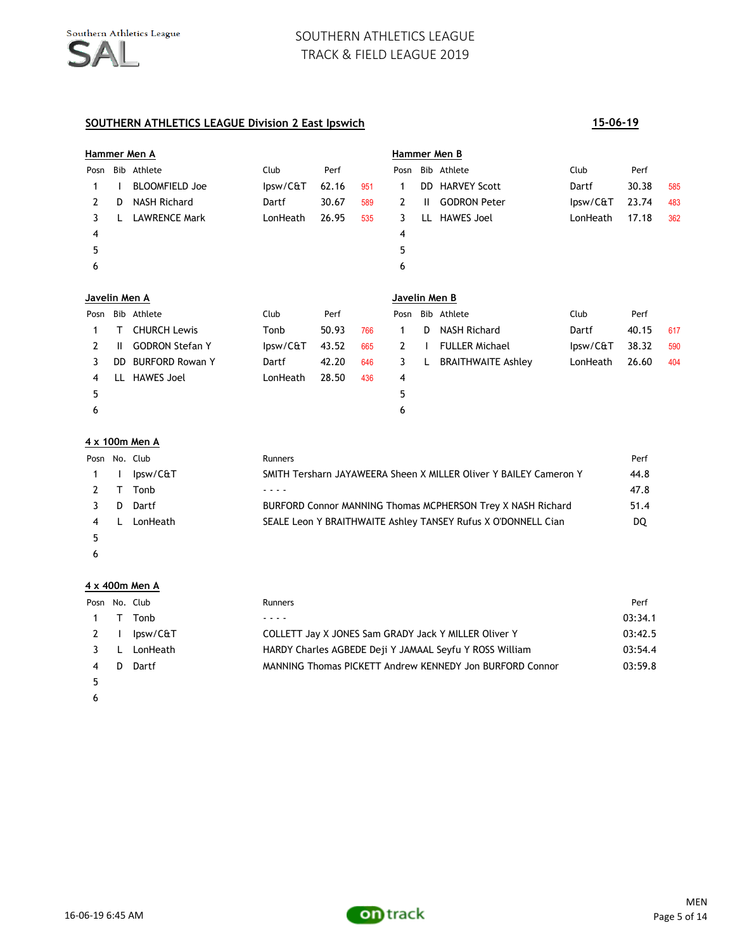# **SOUTHERN ATHLETICS LEAGUE Division 2 East Ipswich 15-06-19**

|               |              | Hammer Men A           |             |       |     |               |              | Hammer Men B              |          |       |     |
|---------------|--------------|------------------------|-------------|-------|-----|---------------|--------------|---------------------------|----------|-------|-----|
| Posn          |              | Bib Athlete            | <b>Club</b> | Perf  |     | Posn          |              | Bib Athlete               | Club     | Perf  |     |
|               |              | <b>BLOOMFIELD Joe</b>  | lpsw/C&T    | 62.16 | 951 | 1             | DD.          | <b>HARVEY Scott</b>       | Dartf    | 30.38 | 585 |
| 2             | D            | <b>NASH Richard</b>    | Dartf       | 30.67 | 589 | $\mathbf{2}$  | $\mathbf{H}$ | <b>GODRON Peter</b>       | lpsw/C&T | 23.74 | 483 |
| 3             |              | <b>LAWRENCE Mark</b>   | LonHeath    | 26.95 | 535 | 3             |              | LL HAWES Joel             | LonHeath | 17.18 | 362 |
| 4             |              |                        |             |       |     | 4             |              |                           |          |       |     |
| 5             |              |                        |             |       |     | 5             |              |                           |          |       |     |
| 6             |              |                        |             |       |     | 6             |              |                           |          |       |     |
| Javelin Men A |              |                        |             |       |     | Javelin Men B |              |                           |          |       |     |
| Posn          |              | Bib Athlete            | Club        | Perf  |     | Posn          |              | Bib Athlete               | Club     | Perf  |     |
| 1             | т            | <b>CHURCH Lewis</b>    | Tonb        | 50.93 | 766 | 1             | D            | <b>NASH Richard</b>       | Dartf    | 40.15 | 617 |
| 2             | $\mathbf{H}$ | <b>GODRON Stefan Y</b> | lpsw/C&T    | 43.52 | 665 | $\mathbf{2}$  |              | <b>FULLER Michael</b>     | lpsw/C&T | 38.32 | 590 |
| 3             | DD.          | <b>BURFORD Rowan Y</b> | Dartf       | 42.20 | 646 | 3             | L.           | <b>BRAITHWAITE Ashley</b> | LonHeath | 26.60 | 404 |
| 4             | LL.          | <b>HAWES Joel</b>      | LonHeath    | 28.50 | 436 | 4             |              |                           |          |       |     |
| 5             |              |                        |             |       |     | 5             |              |                           |          |       |     |
| 6             |              |                        |             |       |     | 6             |              |                           |          |       |     |

### **4 x 100m Men A**

|                | Posn No. Club | <b>Runners</b>                                                    | Perf |
|----------------|---------------|-------------------------------------------------------------------|------|
| $1 \quad \Box$ | lpsw/C&T      | SMITH Tersharn JAYAWEERA Sheen X MILLER Oliver Y BAILEY Cameron Y | 44.8 |
|                | 2 T Tonb      | ----                                                              | 47.8 |
| 3.             | D Dartf       | BURFORD Connor MANNING Thomas MCPHERSON Trey X NASH Richard       | 51.4 |
| 4 L            | LonHeath      | SEALE Leon Y BRAITHWAITE Ashley TANSEY Rufus X O'DONNELL Cian     | DQ   |
|                |               |                                                                   |      |

**4 x 400m Men A**

 $\epsilon$ 

| Posn No. Club |   |          | Runners                                                  | Perf    |
|---------------|---|----------|----------------------------------------------------------|---------|
|               |   | Tonb     |                                                          | 03:34.1 |
|               |   | lpsw/C&T | COLLETT Jay X JONES Sam GRADY Jack Y MILLER Oliver Y     | 03:42.5 |
|               |   | LonHeath | HARDY Charles AGBEDE Deji Y JAMAAL Seyfu Y ROSS William  | 03:54.4 |
|               | Ð | Dartf    | MANNING Thomas PICKETT Andrew KENNEDY Jon BURFORD Connor | 03:59.8 |
|               |   |          |                                                          |         |
|               |   |          |                                                          |         |

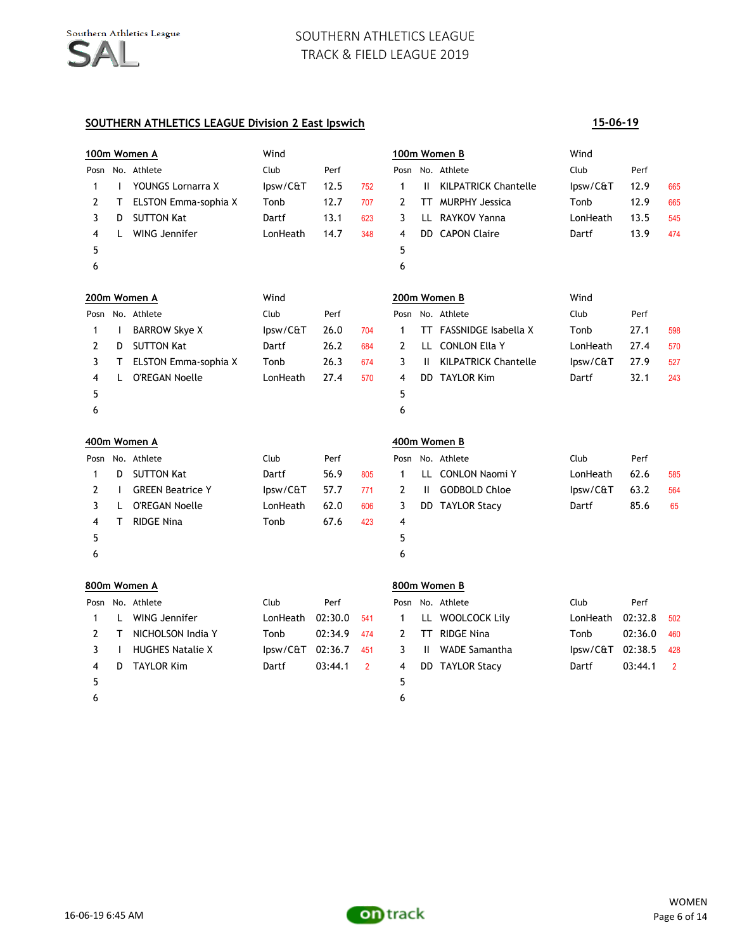# **SOUTHERN ATHLETICS LEAGUE Division 2 East Ipswich**

|      |              | 100m Women A            | Wind     |         |                |      |              | 100m Women B                | Wind             |         |                |
|------|--------------|-------------------------|----------|---------|----------------|------|--------------|-----------------------------|------------------|---------|----------------|
|      |              | Posn No. Athlete        | Club     | Perf    |                |      |              | Posn No. Athlete            | Club             | Perf    |                |
| 1    | $\mathsf{I}$ | YOUNGS Lornarra X       | lpsw/C&T | 12.5    | 752            | 1    | Ш.           | <b>KILPATRICK Chantelle</b> | lpsw/C&T         | 12.9    | 665            |
| 2    | т            | ELSTON Emma-sophia X    | Tonb     | 12.7    | 707            | 2    | TT           | <b>MURPHY Jessica</b>       | Tonb             | 12.9    | 665            |
| 3    | D            | <b>SUTTON Kat</b>       | Dartf    | 13.1    | 623            | 3    |              | LL RAYKOV Yanna             | LonHeath         | 13.5    | 545            |
| 4    | L.           | WING Jennifer           | LonHeath | 14.7    | 348            | 4    |              | DD CAPON Claire             | Dartf            | 13.9    | 474            |
| 5    |              |                         |          |         |                | 5    |              |                             |                  |         |                |
| 6    |              |                         |          |         |                | 6    |              |                             |                  |         |                |
|      |              | 200m Women A            | Wind     |         |                |      |              | 200m Women B                | Wind             |         |                |
|      |              | Posn No. Athlete        | Club     | Perf    |                |      |              | Posn No. Athlete            | Club             | Perf    |                |
| 1    | $\mathbf{I}$ | <b>BARROW Skye X</b>    | lpsw/C&T | 26.0    | 704            | 1    |              | TT FASSNIDGE Isabella X     | Tonb             | 27.1    | 598            |
| 2    | D            | <b>SUTTON Kat</b>       | Dartf    | 26.2    | 684            | 2    |              | LL CONLON Ella Y            | LonHeath         | 27.4    | 570            |
| 3    | T.           | ELSTON Emma-sophia X    | Tonb     | 26.3    | 674            | 3    | Ш.           | <b>KILPATRICK Chantelle</b> | lpsw/C&T         | 27.9    | 527            |
| 4    | L.           | <b>O'REGAN Noelle</b>   | LonHeath | 27.4    | 570            | 4    |              | DD TAYLOR Kim               | Dartf            | 32.1    | 243            |
| 5    |              |                         |          |         |                | 5    |              |                             |                  |         |                |
| 6    |              |                         |          |         |                | 6    |              |                             |                  |         |                |
|      |              | 400m Women A            |          |         |                |      |              | 400m Women B                |                  |         |                |
| Posn |              | No. Athlete             | Club     | Perf    |                | Posn |              | No. Athlete                 | Club             | Perf    |                |
| 1    | D            | <b>SUTTON Kat</b>       | Dartf    | 56.9    | 805            | 1    |              | LL CONLON Naomi Y           | LonHeath         | 62.6    | 585            |
| 2    | $\mathbf{I}$ | <b>GREEN Beatrice Y</b> | lpsw/C&T | 57.7    | 771            | 2    | $\mathbf{H}$ | <b>GODBOLD Chloe</b>        | lpsw/C&T         | 63.2    | 564            |
| 3    | L.           | <b>O'REGAN Noelle</b>   | LonHeath | 62.0    | 606            | 3    |              | DD TAYLOR Stacy             | Dartf            | 85.6    | 65             |
| 4    | T.           | <b>RIDGE Nina</b>       | Tonb     | 67.6    | 423            | 4    |              |                             |                  |         |                |
| 5    |              |                         |          |         |                | 5    |              |                             |                  |         |                |
| 6    |              |                         |          |         |                | 6    |              |                             |                  |         |                |
|      |              | 800m Women A            |          |         |                |      |              | 800m Women B                |                  |         |                |
| Posn |              | No. Athlete             | Club     | Perf    |                |      |              | Posn No. Athlete            | Club             | Perf    |                |
| 1    | L.           | WING Jennifer           | LonHeath | 02:30.0 | 541            | 1    |              | LL WOOLCOCK Lily            | LonHeath         | 02:32.8 | 502            |
| 2    | T.           | NICHOLSON India Y       | Tonb     | 02:34.9 | 474            | 2    |              | TT RIDGE Nina               | Tonb             | 02:36.0 | 460            |
| 3    | $\mathbf{I}$ | <b>HUGHES Natalie X</b> | lpsw/C&T | 02:36.7 | 451            | 3    | H.           | <b>WADE Samantha</b>        | lpsw/C&T 02:38.5 |         | 428            |
| 4    | D            | <b>TAYLOR Kim</b>       | Dartf    | 03:44.1 | $\overline{2}$ | 4    |              | DD TAYLOR Stacy             | Dartf            | 03:44.1 | $\overline{2}$ |
| 5    |              |                         |          |         |                | 5    |              |                             |                  |         |                |
| 6    |              |                         |          |         |                | 6    |              |                             |                  |         |                |



**15-06-19**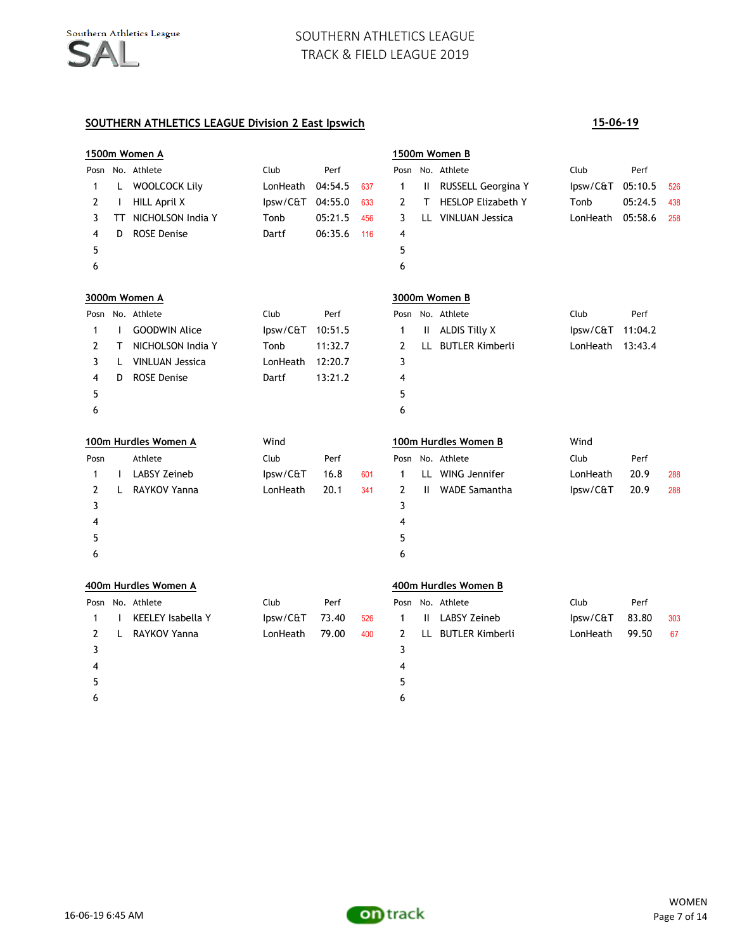### **SOUTHERN ATHLETICS LEAGUE Division 2 East Ipswich 15-06-19**

 $6$ 

# **1500m Women A 1500m Women B** Posn No. Athlete Club Club Perf Posn No. Athlete Club Perf 1 L WOOLCOCK Lily LonHeath 04:54.5 637 1 II RUSSELL Georgina Y Ipsw/C&T 05:10.5 526 2 I HILL April X Ipsw/C&T 04:55.0 633 2 T HESLOP Elizabeth Y Tonb 05:24.5 438 3 TT NICHOLSON India Y Tonb 05:21.5 456 3 LL VINLUAN Jessica LonHeath 05:58.6 258 4 D ROSE Denise Dartf 06:35.6 116 4  $5$  5  $6$ **3000m Women A 3000m Women B** Posn No. Athlete **Club** Perf Posn No. Athlete Club Perf 1 I GOODWIN Alice 10.51.5 1 II ALDIS Tilly X Ipsw/C&T 11:04.2 2 T NICHOLSON India Y Tonb 11:32.7 2 LL BUTLER Kimberli LonHeath 13:43.4 3 L VINLUAN Jessica LonHeath 12:20.7 3 4 D ROSE Denise Dartf 13:21.2 4  $5$  5  $6$ **100m Hurdles Women A** Wind **100m Hurdles Women B** Wind Posn Athlete Club Perf Posn No. Athlete Club Perf 1 I LABSY Zeineb Ipsw/C&T 16.8 601 1 LL WING Jennifer LonHeath 20.9 288 2 L RAYKOV Yanna LonHeath 20.1 341 2 II WADE Samantha Ipsw/C&T 20.9 288  $3<sup>3</sup>$ 4 4  $5$  5  $6$ **400m Hurdles Women A 400m Hurdles Women B** Posn No. Athlete Club Perf Posn No. Athlete Club Perf 1 I KEELEY Isabella Y Ipsw/C&T 73.40 526 1 II LABSY Zeineb Ipsw/C&T 83.80 303 2 L RAYKOV Yanna LonHeath 79.00 400 2 LL BUTLER Kimberli LonHeath 99.50 67  $3<sup>3</sup>$ 4 4  $5$  5

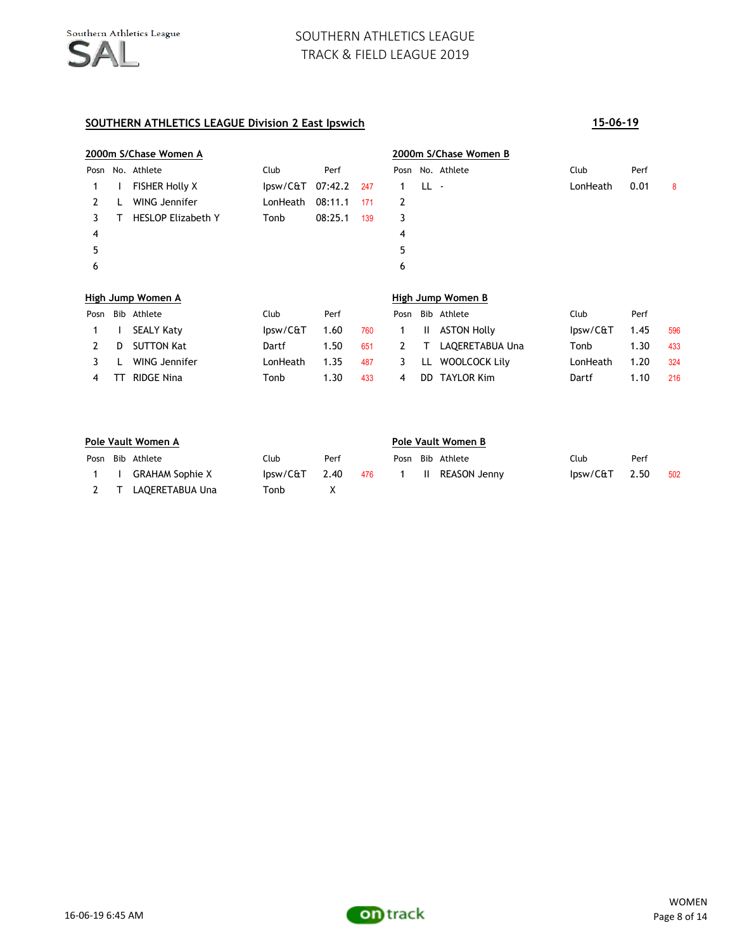|      |                   | 2000m S/Chase Women A     |          |             |     | 2000m S/Chase Women B |      |                   |          |      |   |  |
|------|-------------------|---------------------------|----------|-------------|-----|-----------------------|------|-------------------|----------|------|---|--|
| Posn |                   | No. Athlete               | Club     | Perf        |     |                       |      | Posn No. Athlete  | Club     | Perf |   |  |
| 1    |                   | <b>FISHER Holly X</b>     | lpsw/C&T | 07:42.2 247 |     | $\mathbf{1}$          | LL - |                   | LonHeath | 0.01 | 8 |  |
| 2    |                   | WING Jennifer             | LonHeath | 08:11.1     | 171 | 2                     |      |                   |          |      |   |  |
|      | Т                 | <b>HESLOP Elizabeth Y</b> | Tonb     | 08:25.1     | 139 | 3                     |      |                   |          |      |   |  |
| 4    |                   |                           |          |             |     | 4                     |      |                   |          |      |   |  |
| 5    |                   |                           |          |             |     | 5                     |      |                   |          |      |   |  |
| 6    |                   |                           |          |             |     | 6                     |      |                   |          |      |   |  |
|      | High Jump Women A |                           |          |             |     |                       |      | High Jump Women B |          |      |   |  |

|  | Posn Bib Athlete  | Club     | Perf |     |   | Posn Bib Athlete     | Club     | Perf |     |
|--|-------------------|----------|------|-----|---|----------------------|----------|------|-----|
|  | 1 I SEALY Katy    | lpsw/C&T | 1.60 |     |   | 760 1 II ASTON Holly | lpsw/C&T | 1.45 | 596 |
|  | D SUTTON Kat      | Dartf    | 1.50 | 651 |   | 2 T LAOERETABUA Una  | Tonb     | 1.30 | 433 |
|  | 3 L WING Jennifer | LonHeath | 1.35 | 487 |   | 3 LL WOOLCOCK Lilv   | LonHeath | 1.20 | 324 |
|  | 4 TT RIDGE Nina   | Tonb     | 1.30 | 433 | 4 | DD TAYLOR Kim        | Dartf    | 1.10 | 216 |

| Pole Vault Women A |                  |                |      |  |  | Pole Vault Women B |                       |                        |      |     |  |  |
|--------------------|------------------|----------------|------|--|--|--------------------|-----------------------|------------------------|------|-----|--|--|
|                    | Posn Bib Athlete | Club           | Perf |  |  |                    | Posn Bib Athlete      | Club                   | Perf |     |  |  |
| $1 \quad \Box$     | GRAHAM Sophie X  | $losw/Cf$ 2.40 |      |  |  |                    | 476 1 II REASON Jenny | losw/C <sup>2.50</sup> |      | 502 |  |  |
|                    | LAQERETABUA Una  | Tonb           |      |  |  |                    |                       |                        |      |     |  |  |

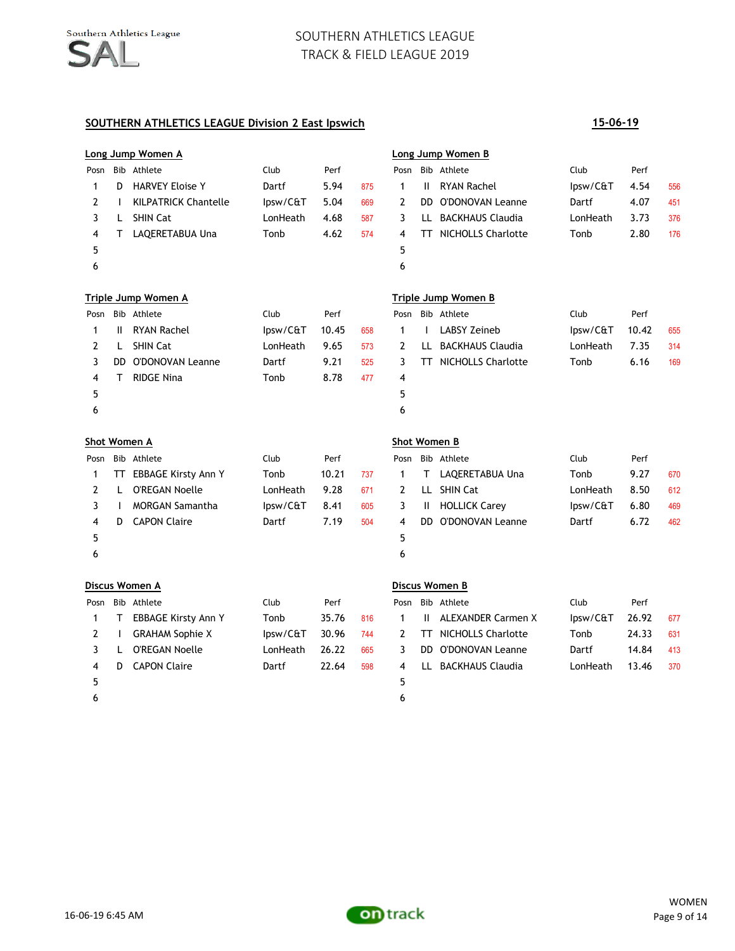### **SOUTHERN ATHLETICS LEAGUE Division 2 East Ipswich 15-06-19**

# **Long Jump Women A Long Jump Women B** Posn Bib Athlete Club Perf Posn Bib Athlete Club Perf 1 D HARVEY Eloise Y 1 Dartf 5.94 875 1 II RYAN Rachel 1 Ipsw/C&T 4.54 556 2 I KILPATRICK Chantelle Ipsw/C&T 5.04 669 2 DD O'DONOVAN Leanne Dartf 4.07 451 3 L SHIN Cat ConHeath 4.68 587 3 LL BACKHAUS Claudia LonHeath 3.73 376 4 T LAQERETABUA Una Tonb 4.62 574 4 TT NICHOLLS Charlotte Tonb 2.80 176  $5$  5  $6$ **Triple Jump Women A Triple Jump Women B** Posn Bib Athlete Club Perf Posn Bib Athlete Club Perf 1 II RYAN Rachel Ipsw/C&T 10.45 658 1 LABSY Zeineb Ipsw/C&T 10.42 655 2 L SHIN Cat LonHeath 9.65 573 2 LL BACKHAUS Claudia LonHeath 7.35 314 3 DD O'DONOVAN Leanne Dartf 9.21 525 3 TT NICHOLLS Charlotte Tonb 6.16 169 4 T RIDGE Nina Tonb 8.78 477 4  $5$  5  $6$ **Shot Women A Shot Women B** Posn Bib Athlete **Club** Club Perf Posn Bib Athlete Club Perf 1 TT EBBAGE Kirsty Ann Y Tonb 10.21 737 1 T LAQERETABUA Una Tonb 9.27 670 2 L O'REGAN Noelle LonHeath 9.28 671 2 LL SHIN Cat LonHeath 8.50 612 3 I MORGAN Samantha Ipsw/C&T 8.41 605 3 II HOLLICK Carey Ipsw/C&T 6.80 469 4 D CAPON Claire Dartf 7.19 504 4 DD O'DONOVAN Leanne Dartf 6.72 462  $5$  5  $6$ **Discus Women A Discus Women B** Posn Bib Athlete Club Perf Posn Bib Athlete Club Perf 1 T EBBAGE Kirsty Ann Y Tonb 35.76 816 1 II ALEXANDER Carmen X Ipsw/C&T 26.92 677 2 I GRAHAM Sophie X Ipsw/C&T 30.96 744 2 TT NICHOLLS Charlotte Tonb 24.33 631 3 L O'REGAN Noelle LonHeath 26.22 665 3 DD O'DONOVAN Leanne Dartf 14.84 413 4 D CAPON Claire Dartf 22.64 598 4 LL BACKHAUS Claudia LonHeath 13.46 370  $5$  5  $6$



on track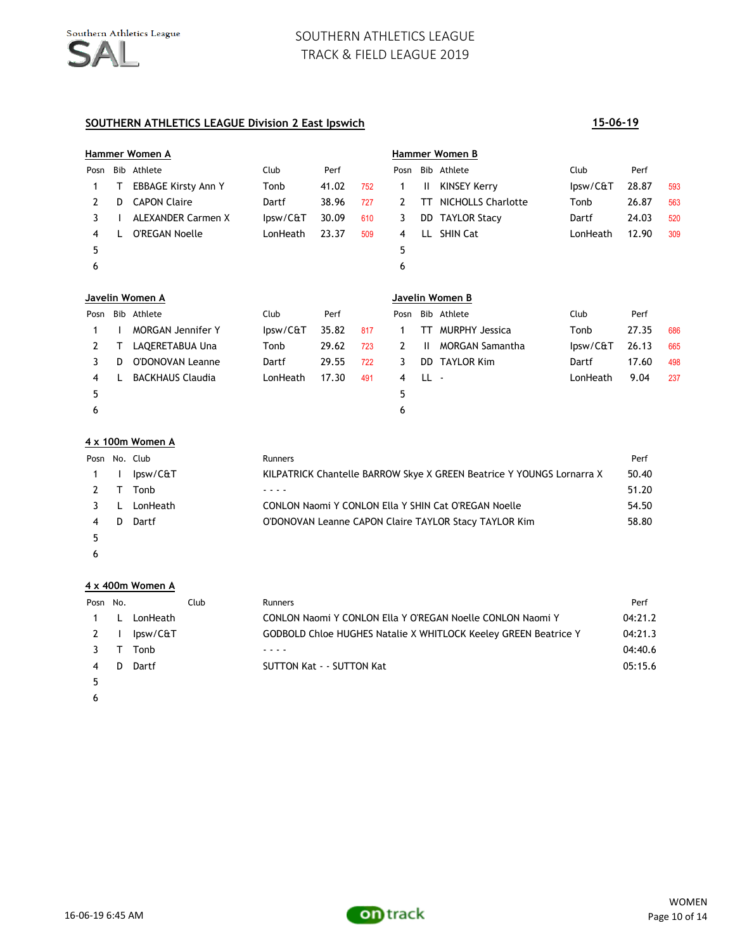### **SOUTHERN ATHLETICS LEAGUE Division 2 East Ipswich 15-06-19**

# **Hammer Women A Hammer Women B** Posn Bib Athlete Club Perf Posn Bib Athlete Club Perf 1 T EBBAGE Kirsty Ann Y Tonb 41.02 752 1 II KINSEY Kerry Pursw/C&T 28.87 593 2 D CAPON Claire **Dartf** 38.96 727 2 TT NICHOLLS Charlotte Tonb 26.87 563 3 I ALEXANDER Carmen X Ipsw/C&T 30.09 610 3 DD TAYLOR Stacy Dartf 24.03 520 4 L O'REGAN Noelle LonHeath 23.37 509 4 LL SHIN Cat LonHeath 12.90 309  $5$  5  $6$

|      |   | Javelin Women A          |          |       |     | Javelin Women B |       |                        |          |       |     |
|------|---|--------------------------|----------|-------|-----|-----------------|-------|------------------------|----------|-------|-----|
| Posn |   | Bib Athlete              | Club     | Perf  |     |                 |       | Posn Bib Athlete       | Club     | Perf  |     |
|      |   | <b>MORGAN Jennifer Y</b> | lpsw/C&T | 35.82 | 817 |                 | TT.   | <b>MURPHY Jessica</b>  | Tonb     | 27.35 | 686 |
|      |   | LAOERETABUA Una          | Tonb     | 29.62 | 723 |                 | H.    | <b>MORGAN Samantha</b> | lpsw/C&T | 26.13 | 665 |
|      | D | <b>O'DONOVAN Leanne</b>  | Dartf    | 29.55 | 722 | 3.              | DD.   | <b>TAYLOR Kim</b>      | Dartf    | 17.60 | 498 |
| 4    |   | <b>BACKHAUS Claudia</b>  | LonHeath | 17.30 | 491 | 4               | -LL - |                        | LonHeath | 9.04  | 237 |
| 5    |   |                          |          |       |     | 5.              |       |                        |          |       |     |
| 6    |   |                          |          |       |     | 6               |       |                        |          |       |     |

### **4 x 100m Women A**

| Posn No. Club |   |          | <b>Runners</b>                                                        | Perf  |
|---------------|---|----------|-----------------------------------------------------------------------|-------|
| $1 \quad 1$   |   | lpsw/C&T | KILPATRICK Chantelle BARROW Skye X GREEN Beatrice Y YOUNGS Lornarra X | 50.40 |
| $2 \tau$      |   | Tonb     |                                                                       | 51.20 |
| 3 L           |   | LonHeath | CONLON Naomi Y CONLON Ella Y SHIN Cat O'REGAN Noelle                  | 54.50 |
| 4             | Ð | Dartf    | O'DONOVAN Leanne CAPON Claire TAYLOR Stacy TAYLOR Kim                 | 58.80 |
|               |   |          |                                                                       |       |

 $\epsilon$ 

### **4 x 400m Women A**

| Posn No. |   | Club     | Runners                                                         | Perf    |
|----------|---|----------|-----------------------------------------------------------------|---------|
|          |   | LonHeath | CONLON Naomi Y CONLON Ella Y O'REGAN Noelle CONLON Naomi Y      | 04:21.2 |
| 2        |   | lpsw/C&T | GODBOLD Chloe HUGHES Natalie X WHITLOCK Keeley GREEN Beatrice Y | 04:21.3 |
|          |   | Tonb     |                                                                 | 04:40.6 |
| 4        | D | Dartf    | SUTTON Kat - - SUTTON Kat                                       | 05:15.6 |
|          |   |          |                                                                 |         |
|          |   |          |                                                                 |         |





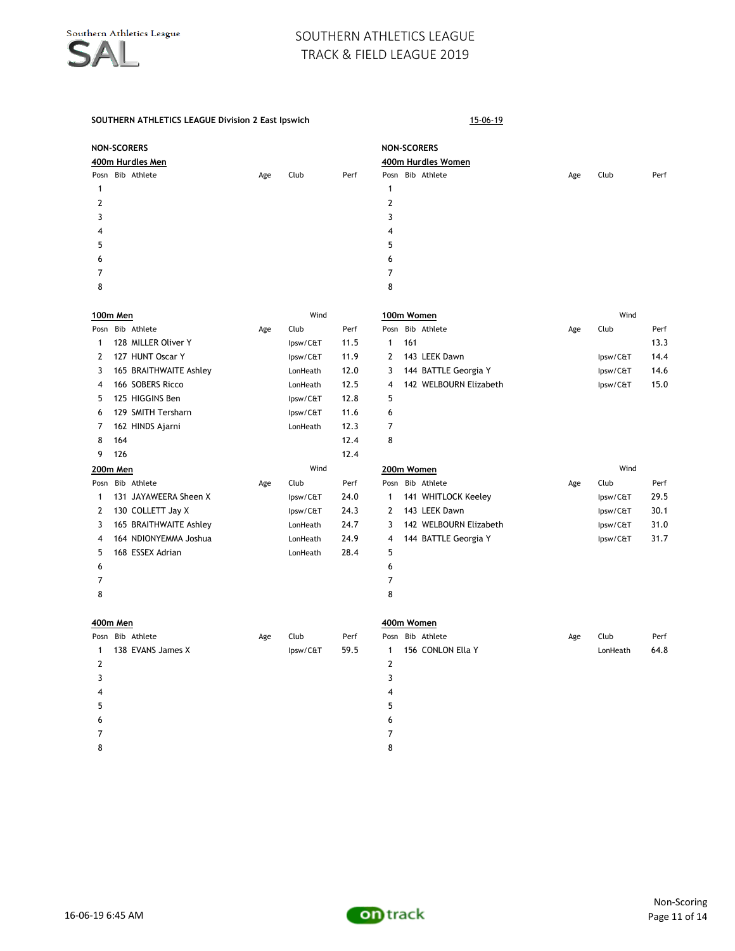**NON-SCORERS NON-SCORERS 400m Hurdles Men 400m Hurdles Women**

### **SOUTHERN ATHLETICS LEAGUE Division 2 East Ipswich** 15-06-19

|                | <b>NON-SCORERS</b><br>400m Hurdles Men |  |     |      |      | <b>NO</b><br>40 |
|----------------|----------------------------------------|--|-----|------|------|-----------------|
|                | Posn Bib Athlete                       |  | Age | Club | Perf | Pos             |
| 1              |                                        |  |     |      |      | 1               |
| $\overline{2}$ |                                        |  |     |      |      | $\overline{2}$  |
| 3              |                                        |  |     |      |      | 3               |
| 4              |                                        |  |     |      |      | 4               |
| 5              |                                        |  |     |      |      | 5               |
| 6              |                                        |  |     |      |      | 6               |
| 7              |                                        |  |     |      |      | 7               |
| 8              |                                        |  |     |      |      | 8               |

|          |     | 100m Men               |     | Wind     |      |      | 100m Women             | Wind |          |
|----------|-----|------------------------|-----|----------|------|------|------------------------|------|----------|
| Posn     |     | Bib Athlete            | Age | Club     | Perf | Posn | Bib Athlete            | Age  | Club     |
|          |     | 128 MILLER Oliver Y    |     | lpsw/C&T | 11.5 | 1    | 161                    |      |          |
| 2        |     | 127 HUNT Oscar Y       |     | lpsw/C&T | 11.9 | 2    | 143 LEEK Dawn          |      | lpsw/C&T |
| 3        |     | 165 BRAITHWAITE Ashley |     | LonHeath | 12.0 | 3    | 144 BATTLE Georgia Y   |      | Ipsw/C&T |
| 4        |     | 166 SOBERS Ricco       |     | LonHeath | 12.5 | 4    | 142 WELBOURN Elizabeth |      | lpsw/C&T |
| 5.       |     | 125 HIGGINS Ben        |     | lpsw/C&T | 12.8 | 5    |                        |      |          |
| 6        |     | 129 SMITH Tersharn     |     | lpsw/C&T | 11.6 | 6    |                        |      |          |
| 7        |     | 162 HINDS Ajarni       |     | LonHeath | 12.3 | 7    |                        |      |          |
| 8        | 164 |                        |     |          | 12.4 | 8    |                        |      |          |
| 9        | 126 |                        |     |          | 12.4 |      |                        |      |          |
| 200m Men |     |                        |     | Wind     |      |      | 200m Women             |      | Wind     |
| Posn     |     | Bib Athlete            | Age | Club     | Perf | Posn | Bib Athlete            | Age  | Club     |
|          |     | 131 JAYAWEERA Sheen X  |     | lpsw/C&T | 24.0 | 1.   | 141 WHITLOCK Keeley    |      | Ipsw/C&T |
| 2        |     | 130 COLLETT Jay X      |     | lpsw/C&T | 24.3 | 2    | 143 LEEK Dawn          |      | lpsw/C&T |
| 3        |     | 165 BRAITHWAITE Ashley |     | LonHeath | 24.7 | 3    | 142 WELBOURN Elizabeth |      | Ipsw/C&T |
| 4        |     | 164 NDIONYEMMA Joshua  |     | LonHeath | 24.9 | 4    | 144 BATTLE Georgia Y   |      | Ipsw/C&T |
| 5.       |     | 168 ESSEX Adrian       |     | LonHeath | 28.4 | 5    |                        |      |          |
| 6        |     |                        |     |          |      | 6    |                        |      |          |
|          |     |                        |     |          |      | 7    |                        |      |          |
| 8        |     |                        |     |          |      | 8    |                        |      |          |

|    | 100m Men |                        |     | Wind     |               |      |     | 100m Women             |     | Wind     |      |
|----|----------|------------------------|-----|----------|---------------|------|-----|------------------------|-----|----------|------|
|    |          | Posn Bib Athlete       | Age | Club     | Perf          | Posn |     | Bib Athlete            | Age | Club     | Perf |
|    |          | 128 MILLER Oliver Y    |     | lpsw/C&T | 11.5          |      | 161 |                        |     |          | 13.3 |
| 2  |          | 127 HUNT Oscar Y       |     | lpsw/C&T | 11.9          | 2    |     | 143 LEEK Dawn          |     | lpsw/C&T | 14.4 |
| 3  |          | 165 BRAITHWAITE Ashley |     | LonHeath | 12.0          | 3    |     | 144 BATTLE Georgia Y   |     | lpsw/C&T | 14.6 |
| 4  |          | 166 SOBERS Ricco       |     | LonHeath | 12.5          | 4    |     | 142 WELBOURN Elizabeth |     | lpsw/C&T | 15.0 |
| 5. |          | 125 HIGGINS Ben        |     | lpsw/C&T | 12.8          | 5    |     |                        |     |          |      |
| 6. |          | 129 SMITH Tersharn     |     | lpsw/C&T | 11.6          | 6    |     |                        |     |          |      |
|    |          |                        |     |          | $\sim$ $\sim$ |      |     |                        |     |          |      |

Posn Bib Athlete **Age Club** Perf

| 200m Men |     |                        |     | Wind     |      | 200m Women |  |                        | Wind |          |      |
|----------|-----|------------------------|-----|----------|------|------------|--|------------------------|------|----------|------|
| Posn     |     | Bib Athlete            | Age | Club     | Perf | Posn       |  | Bib Athlete            | Age  | Club     | Perf |
| 1        | 131 | JAYAWEERA Sheen X      |     | lpsw/C&T | 24.0 |            |  | 141 WHITLOCK Keeley    |      | lpsw/C&T | 29.5 |
| 2        |     | 130 COLLETT Jay X      |     | lpsw/C&T | 24.3 | 2          |  | 143 LEEK Dawn          |      | lpsw/C&T | 30.1 |
| 3        |     | 165 BRAITHWAITE Ashley |     | LonHeath | 24.7 | 3          |  | 142 WELBOURN Elizabeth |      | lpsw/C&T | 31.0 |
| 4        |     | 164 NDIONYEMMA Joshua  |     | LonHeath | 24.9 | 4          |  | 144 BATTLE Georgia Y   |      | lpsw/C&T | 31.7 |
| 5.       |     | 168 ESSEX Adrian       |     | LonHeath | 28.4 | 5          |  |                        |      |          |      |
| 6        |     |                        |     |          |      | 6          |  |                        |      |          |      |
|          |     |                        |     |          |      |            |  |                        |      |          |      |
| $\circ$  |     |                        |     |          |      | $\circ$    |  |                        |      |          |      |

| 400m Men |  |                   |     |          |      | 400m Women   |  |                   |     |          |      |  |
|----------|--|-------------------|-----|----------|------|--------------|--|-------------------|-----|----------|------|--|
|          |  | Posn Bib Athlete  | Age | Club     | Perf | Posn         |  | Bib Athlete       | Age | Club     | Perf |  |
|          |  | 138 EVANS James X |     | lpsw/C&T | 59.5 | $\mathbf{1}$ |  | 156 CONLON Ella Y |     | LonHeath | 64.8 |  |
|          |  |                   |     |          |      |              |  |                   |     |          |      |  |
|          |  |                   |     |          |      |              |  |                   |     |          |      |  |
| 4        |  |                   |     |          |      | 4            |  |                   |     |          |      |  |
| 5        |  |                   |     |          |      | 5            |  |                   |     |          |      |  |
| 6        |  |                   |     |          |      | 6            |  |                   |     |          |      |  |
|          |  |                   |     |          |      |              |  |                   |     |          |      |  |
| 8        |  |                   |     |          |      | 8            |  |                   |     |          |      |  |
|          |  |                   |     |          |      |              |  |                   |     |          |      |  |

| 400m Women |
|------------|
|            |

|   | osn Bib Athlete     | Age | Club     | Perf |                          | Posn Bib Athlete  | Age | Club     | Perf |
|---|---------------------|-----|----------|------|--------------------------|-------------------|-----|----------|------|
|   | 1 138 EVANS James X |     | lpsw/C&T | 59.5 |                          | 156 CONLON Ella Y |     | LonHeath | 64.8 |
|   |                     |     |          |      |                          |                   |     |          |      |
|   |                     |     |          |      |                          |                   |     |          |      |
| 4 |                     |     |          |      | 4                        |                   |     |          |      |
|   |                     |     |          |      |                          |                   |     |          |      |
|   |                     |     |          |      | 6                        |                   |     |          |      |
| 7 |                     |     |          |      | $\overline{\phantom{a}}$ |                   |     |          |      |

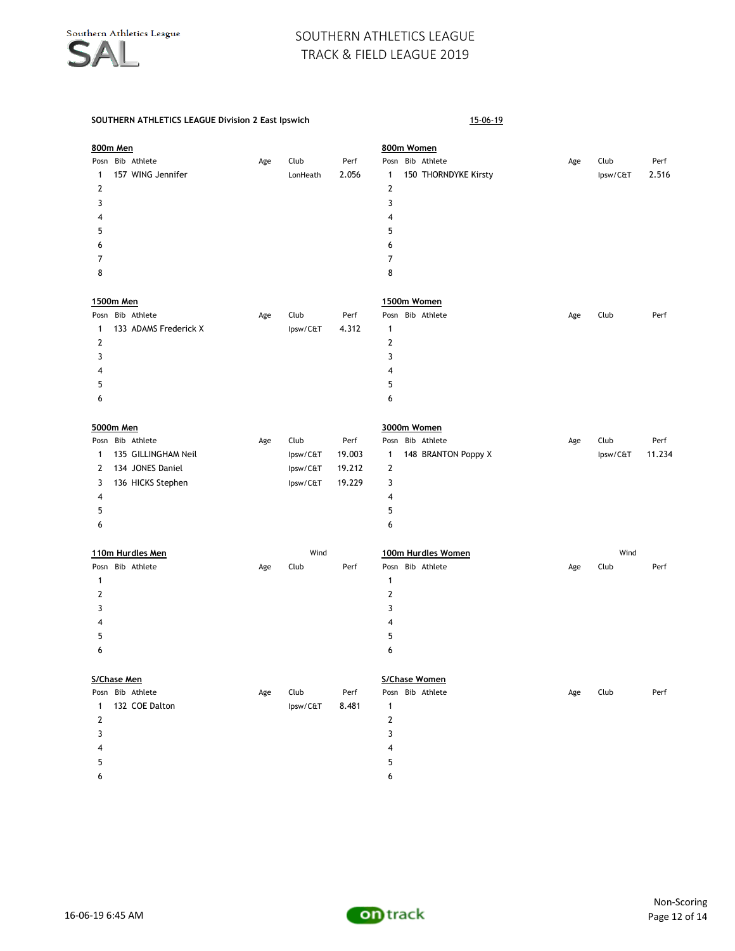|              | 800m Men    |                       |     |          |        |                         | 800m Women           |     |          |        |
|--------------|-------------|-----------------------|-----|----------|--------|-------------------------|----------------------|-----|----------|--------|
|              |             | Posn Bib Athlete      | Age | Club     | Perf   |                         | Posn Bib Athlete     | Age | Club     | Perf   |
| 1            |             | 157 WING Jennifer     |     | LonHeath | 2.056  | $\mathbf{1}$            | 150 THORNDYKE Kirsty |     | Ipsw/C&T | 2.516  |
| 2            |             |                       |     |          |        | $\mathbf 2$             |                      |     |          |        |
| 3            |             |                       |     |          |        | 3                       |                      |     |          |        |
| 4            |             |                       |     |          |        | $\overline{4}$          |                      |     |          |        |
| 5            |             |                       |     |          |        | 5                       |                      |     |          |        |
| 6            |             |                       |     |          |        | 6                       |                      |     |          |        |
| 7            |             |                       |     |          |        | $\overline{7}$          |                      |     |          |        |
| 8            |             |                       |     |          |        | 8                       |                      |     |          |        |
|              | 1500m Men   |                       |     |          |        |                         | 1500m Women          |     |          |        |
| Posn         |             | Bib Athlete           | Age | Club     | Perf   |                         | Posn Bib Athlete     | Age | Club     | Perf   |
| $\mathbf{1}$ |             | 133 ADAMS Frederick X |     | lpsw/C&T | 4.312  | $\mathbf{1}$            |                      |     |          |        |
| 2            |             |                       |     |          |        | $\mathbf{2}$            |                      |     |          |        |
| 3            |             |                       |     |          |        | 3                       |                      |     |          |        |
| 4            |             |                       |     |          |        | 4                       |                      |     |          |        |
| 5            |             |                       |     |          |        | 5                       |                      |     |          |        |
| 6            |             |                       |     |          |        | 6                       |                      |     |          |        |
|              | 5000m Men   |                       |     |          |        |                         | 3000m Women          |     |          |        |
|              |             | Posn Bib Athlete      | Age | Club     | Perf   |                         | Posn Bib Athlete     | Age | Club     | Perf   |
| 1            |             | 135 GILLINGHAM Neil   |     | lpsw/C&T | 19.003 | 1                       | 148 BRANTON Poppy X  |     | Ipsw/C&T | 11.234 |
| 2            |             | 134 JONES Daniel      |     | lpsw/C&T | 19.212 | $\mathbf{2}$            |                      |     |          |        |
| 3            |             | 136 HICKS Stephen     |     | lpsw/C&T | 19.229 | 3                       |                      |     |          |        |
| 4            |             |                       |     |          |        | 4                       |                      |     |          |        |
| 5            |             |                       |     |          |        | 5                       |                      |     |          |        |
| 6            |             |                       |     |          |        | 6                       |                      |     |          |        |
|              |             | 110m Hurdles Men      |     | Wind     |        |                         | 100m Hurdles Women   |     | Wind     |        |
| Posn         |             | Bib Athlete           | Age | Club     | Perf   |                         | Posn Bib Athlete     | Age | Club     | Perf   |
| 1            |             |                       |     |          |        | 1                       |                      |     |          |        |
| 2            |             |                       |     |          |        | 2                       |                      |     |          |        |
| 3            |             |                       |     |          |        | 3                       |                      |     |          |        |
| 4            |             |                       |     |          |        | $\overline{\mathbf{4}}$ |                      |     |          |        |
| 5            |             |                       |     |          |        | 5                       |                      |     |          |        |
| 6            |             |                       |     |          |        | 6                       |                      |     |          |        |
|              | S/Chase Men |                       |     |          |        |                         | S/Chase Women        |     |          |        |
| Posn         |             | Bib Athlete           | Age | Club     | Perf   |                         | Posn Bib Athlete     | Age | Club     | Perf   |
| 1            |             | 132 COE Dalton        |     | lpsw/C&T | 8.481  | $\mathbf{1}$            |                      |     |          |        |
| 2            |             |                       |     |          |        | $\mathbf 2$             |                      |     |          |        |
| 3            |             |                       |     |          |        | 3                       |                      |     |          |        |
| 4            |             |                       |     |          |        | 4                       |                      |     |          |        |
| 5            |             |                       |     |          |        | 5                       |                      |     |          |        |

- $\epsilon$
- -

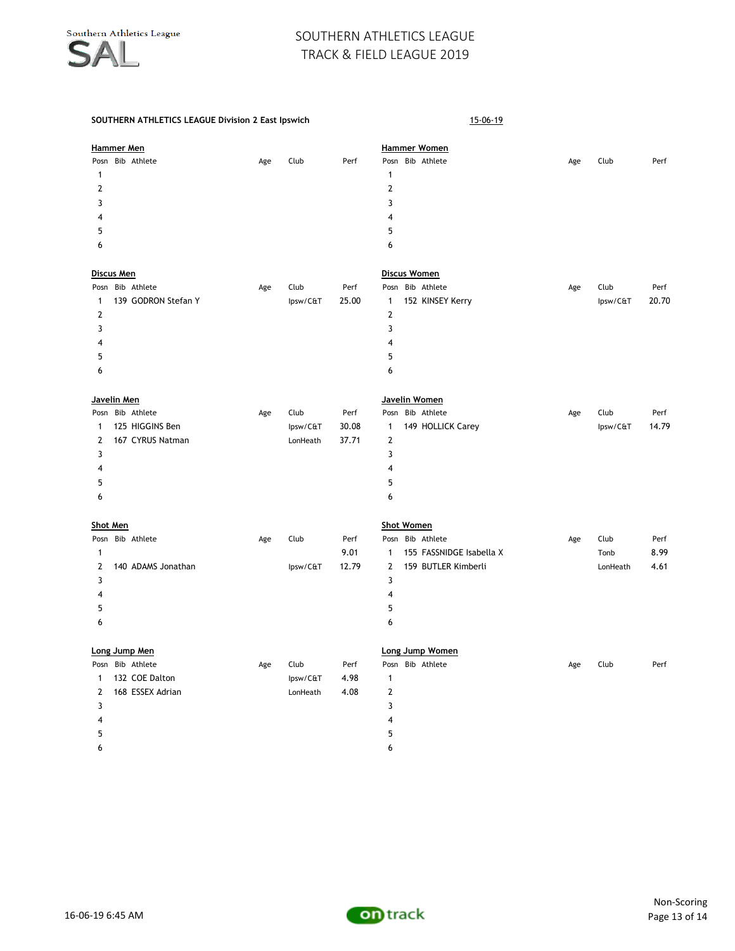| <b>Hammer Men</b> |                     |     |          |       |                         | <b>Hammer Women</b>      |     |          |       |
|-------------------|---------------------|-----|----------|-------|-------------------------|--------------------------|-----|----------|-------|
|                   | Posn Bib Athlete    | Age | Club     | Perf  |                         | Posn Bib Athlete         | Age | Club     | Perf  |
| $\mathbf{1}$      |                     |     |          |       | $\mathbf{1}$            |                          |     |          |       |
| $\overline{2}$    |                     |     |          |       | $\overline{2}$          |                          |     |          |       |
| 3                 |                     |     |          |       | 3                       |                          |     |          |       |
| 4                 |                     |     |          |       | 4                       |                          |     |          |       |
| 5                 |                     |     |          |       | 5                       |                          |     |          |       |
| 6                 |                     |     |          |       | 6                       |                          |     |          |       |
| <b>Discus Men</b> |                     |     |          |       |                         | <b>Discus Women</b>      |     |          |       |
|                   | Posn Bib Athlete    | Age | Club     | Perf  |                         | Posn Bib Athlete         | Age | Club     | Perf  |
| 1                 | 139 GODRON Stefan Y |     | Ipsw/C&T | 25.00 | $\mathbf{1}$            | 152 KINSEY Kerry         |     | Ipsw/C&T | 20.70 |
| $\overline{2}$    |                     |     |          |       | $\overline{2}$          |                          |     |          |       |
| 3                 |                     |     |          |       | 3                       |                          |     |          |       |
|                   |                     |     |          |       | $\overline{4}$          |                          |     |          |       |
| 4                 |                     |     |          |       |                         |                          |     |          |       |
| 5                 |                     |     |          |       | 5                       |                          |     |          |       |
| 6                 |                     |     |          |       | 6                       |                          |     |          |       |
| Javelin Men       |                     |     |          |       |                         | Javelin Women            |     |          |       |
|                   | Posn Bib Athlete    | Age | Club     | Perf  |                         | Posn Bib Athlete         | Age | Club     | Perf  |
| 1                 | 125 HIGGINS Ben     |     | Ipsw/C&T | 30.08 | $\mathbf{1}$            | 149 HOLLICK Carey        |     | Ipsw/C&T | 14.79 |
| 2                 | 167 CYRUS Natman    |     | LonHeath | 37.71 | $\overline{2}$          |                          |     |          |       |
| 3                 |                     |     |          |       | 3                       |                          |     |          |       |
| 4                 |                     |     |          |       | $\overline{\mathbf{4}}$ |                          |     |          |       |
| 5                 |                     |     |          |       | 5                       |                          |     |          |       |
| 6                 |                     |     |          |       | 6                       |                          |     |          |       |
| <b>Shot Men</b>   |                     |     |          |       |                         | <b>Shot Women</b>        |     |          |       |
|                   | Posn Bib Athlete    | Age | Club     | Perf  |                         | Posn Bib Athlete         | Age | Club     | Perf  |
| $\mathbf{1}$      |                     |     |          | 9.01  | $\mathbf{1}$            | 155 FASSNIDGE Isabella X |     | Tonb     | 8.99  |
| $\overline{2}$    | 140 ADAMS Jonathan  |     | Ipsw/C&T | 12.79 | $\overline{2}$          | 159 BUTLER Kimberli      |     | LonHeath | 4.61  |
| 3                 |                     |     |          |       | 3                       |                          |     |          |       |
| 4                 |                     |     |          |       | $\overline{\mathbf{4}}$ |                          |     |          |       |
| 5                 |                     |     |          |       | 5                       |                          |     |          |       |
| 6                 |                     |     |          |       | 6                       |                          |     |          |       |
|                   | Long Jump Men       |     |          |       |                         | Long Jump Women          |     |          |       |
| Posn              | Bib Athlete         | Age | Club     | Perf  |                         | Posn Bib Athlete         | Age | Club     | Perf  |
| 1                 | 132 COE Dalton      |     | Ipsw/C&T | 4.98  | $\mathbf{1}$            |                          |     |          |       |
| 2                 | 168 ESSEX Adrian    |     | LonHeath | 4.08  | $\mathbf{2}$            |                          |     |          |       |
| 3                 |                     |     |          |       | 3                       |                          |     |          |       |
| 4                 |                     |     |          |       | 4                       |                          |     |          |       |
| 5                 |                     |     |          |       | 5                       |                          |     |          |       |
| 6                 |                     |     |          |       | 6                       |                          |     |          |       |